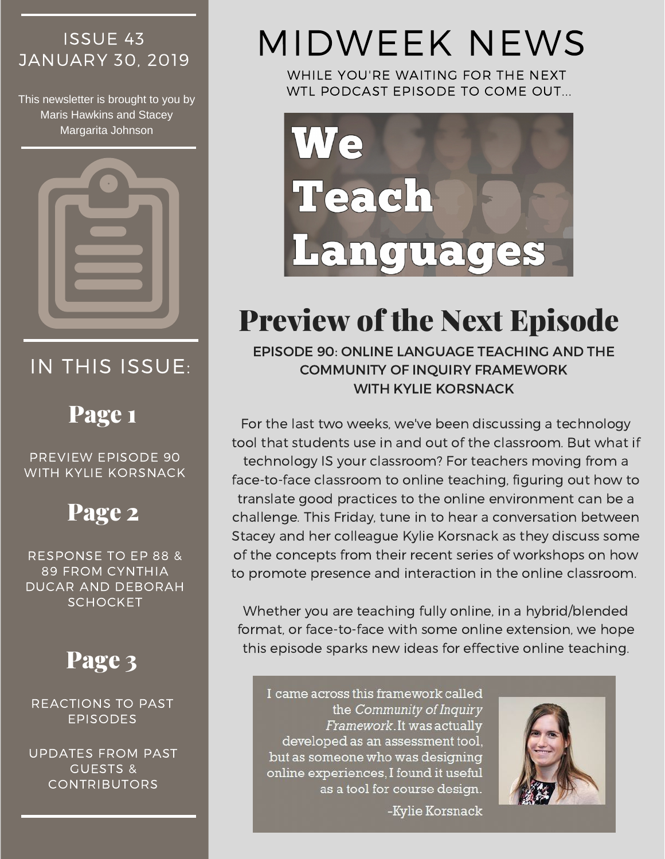# ISSUE 43

This newsletter is brought to you by Maris Hawkins and Stacey Margarita Johnson



# IN THIS ISSUE:

## Page 1

PREVIEW EPISODE 90 WITH KYLIE KORSNACK

## Page 2

RESPONSE TO EP 88 & 89 FROM CYNTHIA DUCAR AND DEBORAH **SCHOCKET** 

REACTIONS TO PAST EPISODES

UPDATES FROM PAST GUESTS & CONTRIBUTORS

# **JANUARY 30, 2019 MIDWEEK NEWS**

WHILE YOU'RE WAITING FOR THE NEXT WTL PODCAST EPISODE TO COME OUT...



# Preview of the Next Episode

EPISODE 90: ONLINE LANGUAGE TEACHING AND THE COMMUNITY OF INQUIRY FRAMEWORK WITH KYLIE KORSNACK

For the last two weeks, we've been discussing a technology tool that students use in and out of the classroom. But what if technology IS your classroom? For teachers moving from a face-to-face classroom to online teaching, figuring out how to translate good practices to the online environment can be a challenge. This Friday, tune in to hear a conversation between Stacey and her colleague Kylie Korsnack as they discuss some of the concepts from their recent series of workshops on how to promote presence and interaction in the online classroom.

Whether you are teaching fully online, in a hybrid/blended format, or face-to-face with some online extension, we hope **Page 3** this episode sparks new ideas for effective online teaching.

> I came across this framework called the Community of Inquiry Framework. It was actually developed as an assessment tool, but as someone who was designing online experiences, I found it useful as a tool for course design.

> > -Kylie Korsnack

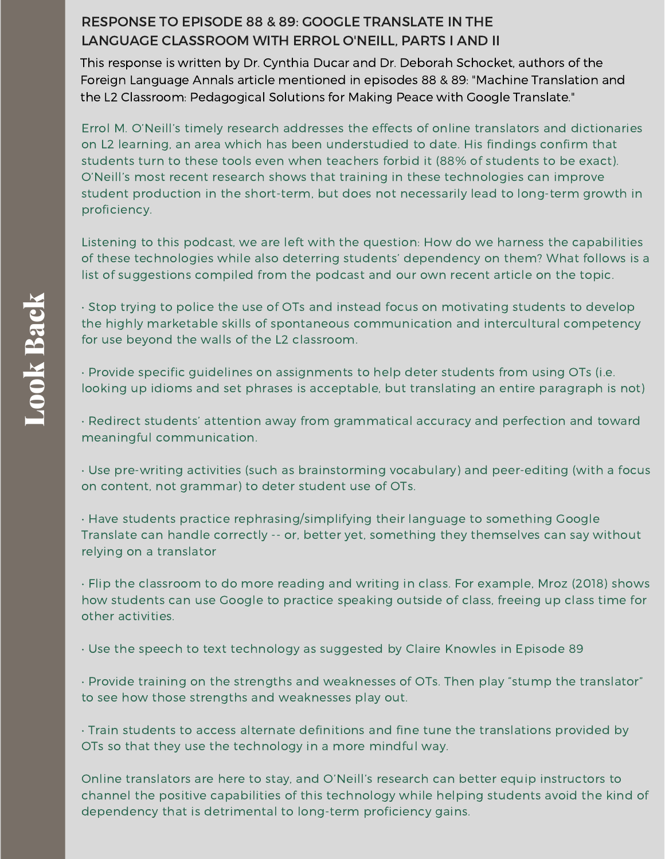#### RESPONSE TO EPISODE 88 & 89: GOOGLE TRANSLATE IN THE LANGUAGE [CLASSROOM](https://weteachlang.com/2019/01/18/ep-88-with-errol-oneill/) WITH ERROL O'NEILL, PARTS I AND II

This response is written by Dr. Cynthia Ducar and Dr. Deborah Schocket, authors of the Foreign Language Annals article mentioned in episodes 88 & 89: "Machine Translation and the L2 [Classroom:](https://onlinelibrary.wiley.com/doi/10.1111/flan.12366) Pedagogical Solutions for Making Peace with Google Translate."

Errol M. O'Neill's timely research addresses the effects of online translators and dictionaries on L2 learning, an area which has been understudied to date. His findings confirm that students turn to these tools even when teachers forbid it (88% of students to be exact). O'Neill's most recent research shows that training in these technologies can improve student production in the short-term, but does not necessarily lead to long-term growth in proficiency.

Listening to this podcast, we are left with the question: How do we harness the capabilities of these technologies while also deterring students' dependency on them? What follows is a list of suggestions compiled from the podcast and our own recent article on the topic.

• Stop trying to police the use of OTs and instead focus on motivating students to develop the highly marketable skills of spontaneous communication and intercultural competency for use beyond the walls of the L2 classroom.

• Provide specific guidelines on assignments to help deter students from using OTs (i.e. looking up idioms and set phrases is acceptable, but translating an entire paragraph is not)

• Redirect students' attention away from grammatical accuracy and perfection and toward meaningful communication.

• Use pre-writing activities (such as brainstorming vocabulary) and peer-editing (with a focus on content, not grammar) to deter student use of OTs.

• Have students practice rephrasing/simplifying their language to something Google Translate can handle correctly -- or, better yet, something they themselves can say without relying on a translator

• Flip the classroom to do more reading and writing in class. For example, Mroz (2018) shows how students can use Google to practice speaking outside of class, freeing up class time for other activities.

• Use the speech to text technology as suggested by Claire Knowles in Episode 89

• Provide training on the strengths and weaknesses of OTs. Then play "stump the translator" to see how those strengths and weaknesses play out.

• Train students to access alternate definitions and fine tune the translations provided by OTs so that they use the technology in a more mindful way.

Online translators are here to stay, and O'Neill's research can better equip instructors to channel the positive capabilities of this technology while helping students avoid the kind of dependency that is detrimental to long-term proficiency gains.